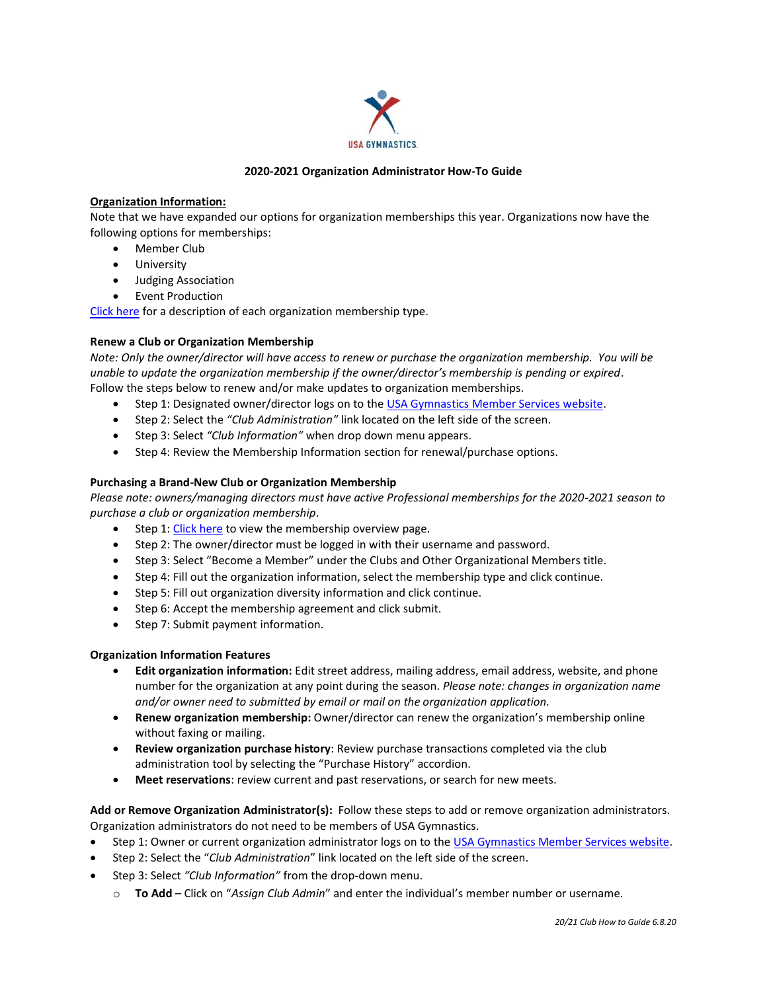

## **2020-2021 Organization Administrator How-To Guide**

## **Organization Information:**

Note that we have expanded our options for organization memberships this year. Organizations now have the following options for memberships:

- Member Club
- University
- Judging Association
- Event Production

[Click here](https://test.usagym.org/pages/membership/pages/membership_overview.html) for a description of each organization membership type.

### **Renew a Club or Organization Membership**

*Note: Only the owner/director will have access to renew or purchase the organization membership. You will be unable to update the organization membership if the owner/director's membership is pending or expired*. Follow the steps below to renew and/or make updates to organization memberships.

- Step 1: Designated owner/director logs on to the [USA Gymnastics Member Services website.](http://usagym.org/pages/membership/pages/index.html)
- Step 2: Select the *"Club Administration"* link located on the left side of the screen.
- Step 3: Select *"Club Information"* when drop down menu appears.
- Step 4: Review the Membership Information section for renewal/purchase options.

### **Purchasing a Brand-New Club or Organization Membership**

*Please note: owners/managing directors must have active Professional memberships for the 2020-2021 season to purchase a club or organization membership.*

- Step 1: [Click here](https://usagym.org/pages/membership/pages/membership_overview.html) to view the membership overview page.
- Step 2: The owner/director must be logged in with their username and password.
- Step 3: Select "Become a Member" under the Clubs and Other Organizational Members title.
- Step 4: Fill out the organization information, select the membership type and click continue.
- Step 5: Fill out organization diversity information and click continue.
- Step 6: Accept the membership agreement and click submit.
- Step 7: Submit payment information.

#### **Organization Information Features**

- **Edit organization information:** Edit street address, mailing address, email address, website, and phone number for the organization at any point during the season. *Please note: changes in organization name and/or owner need to submitted by email or mail on the organization application.*
- **Renew organization membership:** Owner/director can renew the organization's membership online without faxing or mailing.
- **Review organization purchase history**: Review purchase transactions completed via the club administration tool by selecting the "Purchase History" accordion.
- **Meet reservations**: review current and past reservations, or search for new meets.

**Add or Remove Organization Administrator(s):** Follow these steps to add or remove organization administrators. Organization administrators do not need to be members of USA Gymnastics.

- Step 1: Owner or current organization administrator logs on to the [USA Gymnastics Member Services website.](http://usagym.org/pages/membership/pages/index.html)
- Step 2: Select the "*Club Administration*" link located on the left side of the screen.
- Step 3: Select *"Club Information"* from the drop-down menu.
	- o **To Add** Click on "*Assign Club Admin*" and enter the individual's member number or username.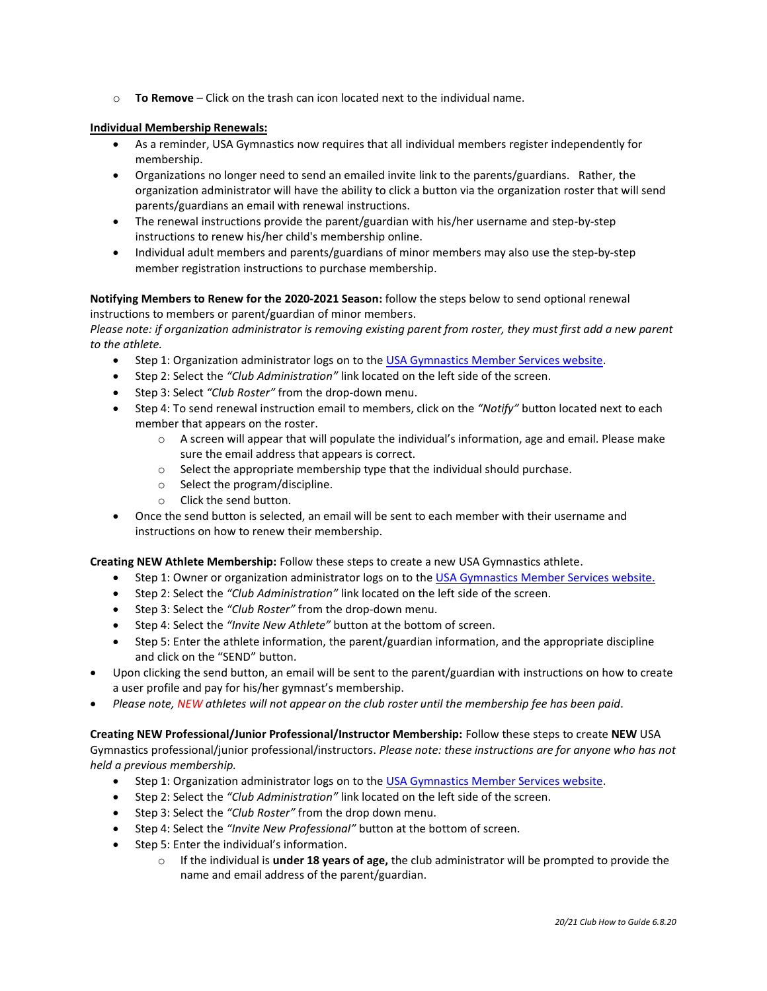o **To Remove** – Click on the trash can icon located next to the individual name.

# **Individual Membership Renewals:**

- As a reminder, USA Gymnastics now requires that all individual members register independently for membership.
- Organizations no longer need to send an emailed invite link to the parents/guardians. Rather, the organization administrator will have the ability to click a button via the organization roster that will send parents/guardians an email with renewal instructions.
- The renewal instructions provide the parent/guardian with his/her username and step-by-step instructions to renew his/her child's membership online.
- Individual adult members and parents/guardians of minor members may also use the step-by-step member registration instructions to purchase membership.

## **Notifying Members to Renew for the 2020-2021 Season:** follow the steps below to send optional renewal instructions to members or parent/guardian of minor members.

*Please note: if organization administrator is removing existing parent from roster, they must first add a new parent to the athlete.*

- Step 1: Organization administrator logs on to th[e USA Gymnastics Member Services website.](http://usagym.org/pages/membership/pages/index.html)
- Step 2: Select the *"Club Administration"* link located on the left side of the screen.
- Step 3: Select *"Club Roster"* from the drop-down menu.
- Step 4: To send renewal instruction email to members, click on the *"Notify"* button located next to each member that appears on the roster.
	- $\circ$  A screen will appear that will populate the individual's information, age and email. Please make sure the email address that appears is correct.
	- o Select the appropriate membership type that the individual should purchase.
	- o Select the program/discipline.
	- o Click the send button.
- Once the send button is selected, an email will be sent to each member with their username and instructions on how to renew their membership.

**Creating NEW Athlete Membership:** Follow these steps to create a new USA Gymnastics athlete.

- Step 1: Owner or organization administrator logs on to the [USA Gymnastics Member Services website.](http://usagym.org/pages/membership/pages/index.html)
- Step 2: Select the *"Club Administration"* link located on the left side of the screen.
- Step 3: Select the *"Club Roster"* from the drop-down menu.
- Step 4: Select the *"Invite New Athlete"* button at the bottom of screen.
- Step 5: Enter the athlete information, the parent/guardian information, and the appropriate discipline and click on the "SEND" button.
- Upon clicking the send button, an email will be sent to the parent/guardian with instructions on how to create a user profile and pay for his/her gymnast's membership.
- *Please note, NEW athletes will not appear on the club roster until the membership fee has been paid.*

**Creating NEW Professional/Junior Professional/Instructor Membership:** Follow these steps to create **NEW** USA Gymnastics professional/junior professional/instructors. *Please note: these instructions are for anyone who has not held a previous membership.*

- Step 1: Organization administrator logs on to th[e USA Gymnastics Member Services website.](http://usagym.org/pages/membership/pages/index.html)
- Step 2: Select the *"Club Administration"* link located on the left side of the screen.
- Step 3: Select the *"Club Roster"* from the drop down menu.
- Step 4: Select the *"Invite New Professional"* button at the bottom of screen.
- Step 5: Enter the individual's information.
	- o If the individual is **under 18 years of age,** the club administrator will be prompted to provide the name and email address of the parent/guardian.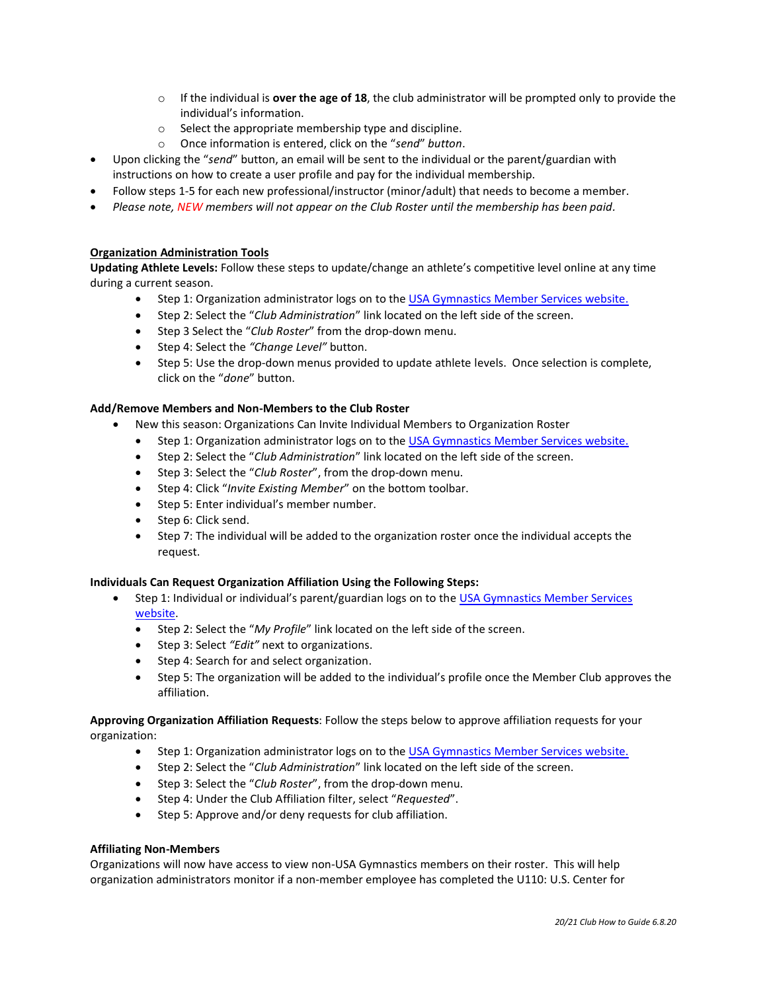- o If the individual is **over the age of 18**, the club administrator will be prompted only to provide the individual's information.
- o Select the appropriate membership type and discipline.
- o Once information is entered, click on the "*send*" *button*.
- Upon clicking the "*send*" button, an email will be sent to the individual or the parent/guardian with instructions on how to create a user profile and pay for the individual membership.
- Follow steps 1-5 for each new professional/instructor (minor/adult) that needs to become a member.
- *Please note, NEW members will not appear on the Club Roster until the membership has been paid.*

## **Organization Administration Tools**

**Updating Athlete Levels:** Follow these steps to update/change an athlete's competitive level online at any time during a current season.

- Step 1: Organization administrator logs on to th[e USA Gymnastics Member Services website.](http://usagym.org/pages/membership/pages/index.html)
- Step 2: Select the "*Club Administration*" link located on the left side of the screen.
- Step 3 Select the "*Club Roster*" from the drop-down menu.
- Step 4: Select the *"Change Level"* button.
- Step 5: Use the drop-down menus provided to update athlete levels. Once selection is complete, click on the "*done*" button.

#### **Add/Remove Members and Non-Members to the Club Roster**

- New this season: Organizations Can Invite Individual Members to Organization Roster
	- Step 1: Organization administrator logs on to th[e USA Gymnastics Member Services website.](http://usagym.org/pages/membership/pages/index.html)
	- Step 2: Select the "*Club Administration*" link located on the left side of the screen.
	- Step 3: Select the "*Club Roster*", from the drop-down menu.
	- Step 4: Click "*Invite Existing Member*" on the bottom toolbar.
	- Step 5: Enter individual's member number.
	- Step 6: Click send.
	- Step 7: The individual will be added to the organization roster once the individual accepts the request.

#### **Individuals Can Request Organization Affiliation Using the Following Steps:**

- Step 1: Individual or individual's parent/guardian logs on to the [USA Gymnastics Member Services](http://usagym.org/pages/membership/pages/index.html)  [website.](http://usagym.org/pages/membership/pages/index.html)
	- Step 2: Select the "*My Profile*" link located on the left side of the screen.
	- Step 3: Select *"Edit"* next to organizations.
	- Step 4: Search for and select organization.
	- Step 5: The organization will be added to the individual's profile once the Member Club approves the affiliation.

### **Approving Organization Affiliation Requests**: Follow the steps below to approve affiliation requests for your organization:

- Step 1: Organization administrator logs on to th[e USA Gymnastics Member Services website.](http://usagym.org/pages/membership/pages/index.html)
- Step 2: Select the "*Club Administration*" link located on the left side of the screen.
- Step 3: Select the "*Club Roster*", from the drop-down menu.
- Step 4: Under the Club Affiliation filter, select "*Requested*".
- Step 5: Approve and/or deny requests for club affiliation.

#### **Affiliating Non-Members**

Organizations will now have access to view non-USA Gymnastics members on their roster. This will help organization administrators monitor if a non-member employee has completed the U110: U.S. Center for